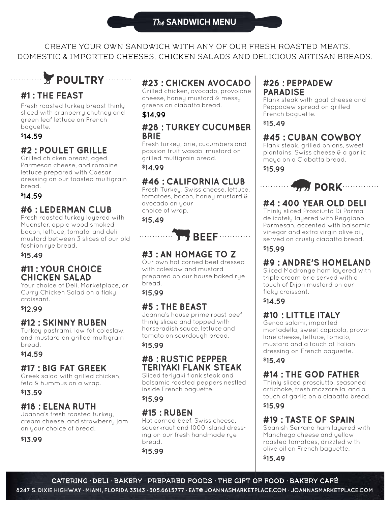CREATE YOUR OWN SANDWICH WITH ANY OF OUR FRESH ROASTED MEATS, DOMESTIC & IMPORTED CHEESES, CHICKEN SALADS AND DELICIOUS ARTISAN BREADS.

# **FOULTRY WELL**

## **#1 : THE FEAST**

Fresh roasted turkey breast thinly sliced with cranberry chutney and green leaf lettuce on French baguette.

#### **\$14.59**

. . . . . . . . . .

## **#2 : POULET GRILLE**

Grilled chicken breast, aged Parmesan cheese, and romaine lettuce prepared with Caesar dressing on our toasted multigrain bread.

#### **\$14.59**

## **#6 : LEDERMAN CLUB**

Fresh roasted turkey layered with Muenster, apple wood smoked bacon, lettuce, tomato, and deli mustard between 3 slices of our old fashion rye bread.

#### **\$15.49**

#### **#11 : YOUR CHOICE CHICKEN SALAD**

Your choice of Deli, Marketplace, or Curry Chicken Salad on a flaky croissant.

#### **\$12.99**

## **#12 : SKINNY RUBEN**

Turkey pastrami, low fat coleslaw, and mustard on grilled multigrain bread.

#### **\$14.59**

#### **#17 : BIG FAT GREEK**

Greek salad with grilled chicken, feta & hummus on a wrap.

#### **\$13.59**

#### **#18 : ELENA RUTH**

Joanna's fresh roasted turkey, cream cheese, and strawberry jam on your choice of bread.

**\$13.99**

## **#23 : CHICKEN AVOCADO**

Grilled chicken, avocado, provolone cheese, honey mustard & messy greens on ciabatta bread.

#### **\$14.99**

#### **#28 : TURKEY CUCUMBER BRIE**

Fresh turkey, brie, cucumbers and passion fruit wasabi mustard on grilled multigrain bread.

**\$14.99**

## **#46 : CALIFORNIA CLUB**

Fresh Turkey, Swiss cheese, lettuce, tomatoes, bacon, honey mustard & avocado on your choice of wrap.

**\$15.49**



## **#3 : AN HOMAGE TO Z**

Our own hot corned beef dressed with coleslaw and mustard prepared on our house baked rye bread.

**\$15.99**

## **#5 : THE BEAST**

Joanna's house prime roast beef thinly sliced and topped with horseradish sauce, lettuce and tomato on sourdough bread.

#### **\$15.99**

#### **#8 : RUSTIC PEPPER TERIYAKI FLANK STEAK**

Sliced teriyaki flank steak and balsamic roasted peppers nestled inside French baguette.

**\$15.99**

#### **#15 : RUBEN**

Hot corned beef, Swiss cheese, sauerkraut and 1000 island dressing on our fresh handmade rye bread.

**\$15.99**

#### **#26 : PEPPADEW PARADISE**

Flank steak with goat cheese and Peppadew spread on grilled French baguette.

**\$15.49**

## **#45 : CUBAN COWBOY**

Flank steak, grilled onions, sweet plantains, Swiss cheese & a garlic mayo on a Ciabatta bread.

**\$15.99**

. . . . . . . . . . .

# **#4 : 400 YEAR OLD DELI**

**WWW.PORK** 

Thinly sliced Prosciutto Di Parma delicately layered with Reggiano Parmesan, accented with balsamic vinegar and extra virgin olive oil, served on crusty ciabatta bread.

**\$15.99**

## **#9 : ANDRE'S HOMELAND**

Sliced Madrange ham layered with triple cream brie served with a touch of Dijon mustard on our flaky croissant.

**\$14.59**

## **#10 : LITTLE ITALY**

Genoa salami, imported mortadella, sweet capicola, provolone cheese, lettuce, tomato, mustard and a touch of Italian dressing on French baguette.

**\$15.49**

## **#14 : THE GOD FATHER**

Thinly sliced prosciutto, seasoned artichoke, fresh mozzarella, and a touch of garlic on a ciabatta bread. **\$15.99**

## **#19 : TASTE OF SPAIN**

Spanish Serrano ham layered with Manchego cheese and yellow roasted tomatoes, drizzled with olive oil on French baguette.

**\$15.49**